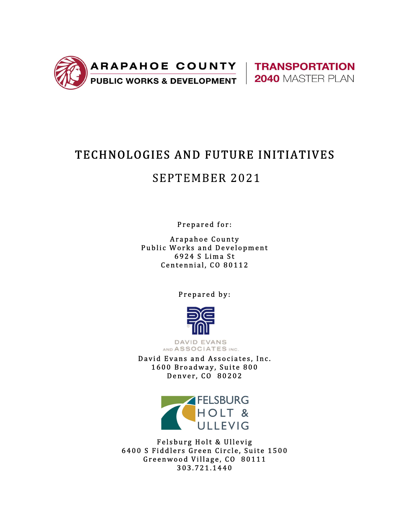



# TECHNOLOGIES AND FUTURE INITIATIVES

# **SEPTEMBER 2021**

Prepared for:

Arapahoe County Public Works and Development 6924 S Lima St Centennial, CO 80112

Prepared by:



**DAVID EVANS** AND ASSOCIATES INC.

David Evans and Associates, Inc. 1600 Broadway, Suite 800 Denver, CO 80202



Felsburg Holt & Ullevig 6400 S Fiddlers Green Circle, Suite 1500 Greenwood Village, CO 80111 3 0 3 . 7 2 1 . 1 4 4 0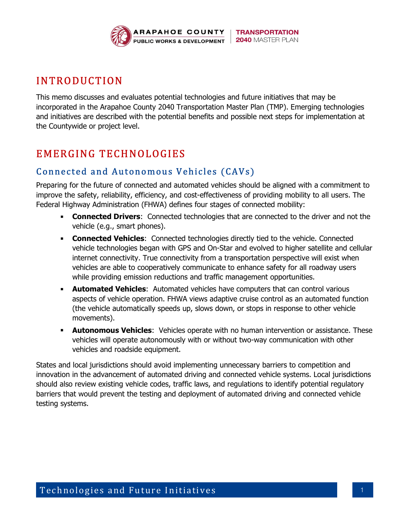

# IN TRODUCTION

This memo discusses and evaluates potential technologies and future initiatives that may be incorporated in the Arapahoe County 2040 Transportation Master Plan (TMP). Emerging technologies and initiatives are described with the potential benefits and possible next steps for implementation at the Countywide or project level.

# EMERGING TECHNOLOGIES

# Connected and Autonomous Vehicles (CAVs)

Preparing for the future of connected and automated vehicles should be aligned with a commitment to improve the safety, reliability, efficiency, and cost-effectiveness of providing mobility to all users. The Federal Highway Administration (FHWA) defines four stages of connected mobility:

- **Connected Drivers:** Connected technologies that are connected to the driver and not the vehicle (e.g., smart phones).
- **Connected Vehicles:** Connected technologies directly tied to the vehicle. Connected vehicle technologies began with GPS and On-Star and evolved to higher satellite and cellular internet connectivity. True connectivity from a transportation perspective will exist when vehicles are able to cooperatively communicate to enhance safety for all roadway users while providing emission reductions and traffic management opportunities.
- **Automated Vehicles:** Automated vehicles have computers that can control various aspects of vehicle operation. FHWA views adaptive cruise control as an automated function (the vehicle automatically speeds up, slows down, or stops in response to other vehicle movements).
- **Autonomous Vehicles:** Vehicles operate with no human intervention or assistance. These vehicles will operate autonomously with or without two-way communication with other vehicles and roadside equipment.

States and local jurisdictions should avoid implementing unnecessary barriers to competition and innovation in the advancement of automated driving and connected vehicle systems. Local jurisdictions should also review existing vehicle codes, traffic laws, and regulations to identify potential regulatory barriers that would prevent the testing and deployment of automated driving and connected vehicle testing systems.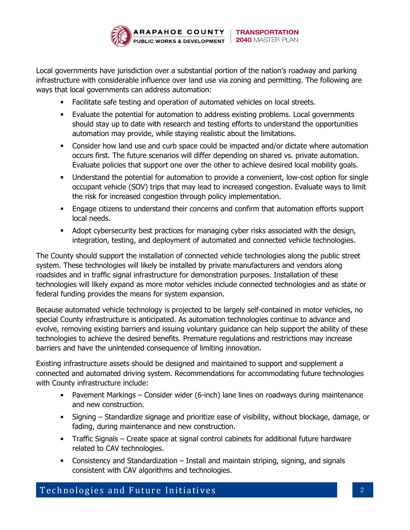

Local governments have jurisdiction over a substantial portion of the nation's roadway and parking infrastructure with considerable influence over land use via zoning and permitting. The following are ways that local governments can address automation:

- Facilitate safe testing and operation of automated vehicles on local streets.
- Evaluate the potential for automation to address existing problems. Local governments should stay up to date with research and testing efforts to understand the opportunities automation may provide, while staying realistic about the limitations.
- Consider how land use and curb space could be impacted and/or dictate where automation occurs first. The future scenarios will differ depending on shared vs. private automation. Evaluate policies that support one over the other to achieve desired local mobility goals.
- Understand the potential for automation to provide a convenient, low-cost option for single occupant vehicle (SOV) trips that may lead to increased congestion. Evaluate ways to limit the risk for increased congestion through policy implementation.
- Engage citizens to understand their concerns and confirm that automation efforts support local needs.
- Adopt cybersecurity best practices for managing cyber risks associated with the design, integration, testing, and deployment of automated and connected vehicle technologies.

The County should support the installation of connected vehicle technologies along the public street system. These technologies will likely be installed by private manufacturers and vendors along roadsides and in traffic signal infrastructure for demonstration purposes. Installation of these technologies will likely expand as more motor vehicles include connected technologies and as state or federal funding provides the means for system expansion.

Because automated vehicle technology is projected to be largely self-contained in motor vehicles, no special County infrastructure is anticipated. As automation technologies continue to advance and evolve, removing existing barriers and issuing voluntary guidance can help support the ability of these technologies to achieve the desired benefits. Premature regulations and restrictions may increase barriers and have the unintended consequence of limiting innovation.

Existing infrastructure assets should be designed and maintained to support and supplement a connected and automated driving system. Recommendations for accommodating future technologies with County infrastructure include:

- Pavement Markings Consider wider (6-inch) lane lines on roadways during maintenance and new construction.
- Signing Standardize signage and prioritize ease of visibility, without blockage, damage, or fading, during maintenance and new construction.
- Traffic Signals Create space at signal control cabinets for additional future hardware related to CAV technologies.
- Consistency and Standardization Install and maintain striping, signing, and signals consistent with CAV algorithms and technologies.

Technologies and Future Initiatives and the state of the state of the state of the state of the state of the state of the state of the state of the state of the state of the state of the state of the state of the state of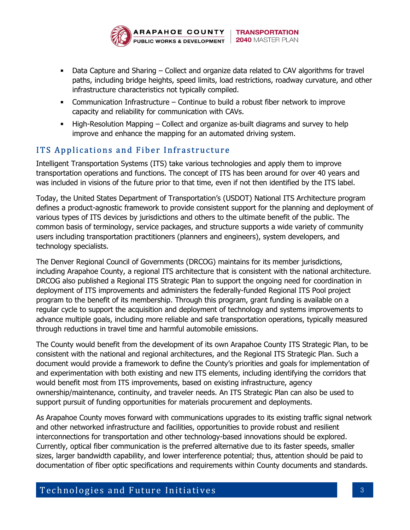

- Data Capture and Sharing Collect and organize data related to CAV algorithms for travel paths, including bridge heights, speed limits, load restrictions, roadway curvature, and other infrastructure characteristics not typically compiled.
- Communication Infrastructure Continue to build a robust fiber network to improve capacity and reliability for communication with CAVs.
- High-Resolution Mapping Collect and organize as-built diagrams and survey to help improve and enhance the mapping for an automated driving system.

# ITS Applications and Fiber Infrastructure

Intelligent Transportation Systems (ITS) take various technologies and apply them to improve transportation operations and functions. The concept of ITS has been around for over 40 years and was included in visions of the future prior to that time, even if not then identified by the ITS label.

Today, the United States Department of Transportation's (USDOT) National ITS Architecture program defines a product-agnostic framework to provide consistent support for the planning and deployment of various types of ITS devices by jurisdictions and others to the ultimate benefit of the public. The common basis of terminology, service packages, and structure supports a wide variety of community users including transportation practitioners (planners and engineers), system developers, and technology specialists.

The Denver Regional Council of Governments (DRCOG) maintains for its member jurisdictions, including Arapahoe County, a regional ITS architecture that is consistent with the national architecture. DRCOG also published a Regional ITS Strategic Plan to support the ongoing need for coordination in deployment of ITS improvements and administers the federally-funded Regional ITS Pool project program to the benefit of its membership. Through this program, grant funding is available on a regular cycle to support the acquisition and deployment of technology and systems improvements to advance multiple goals, including more reliable and safe transportation operations, typically measured through reductions in travel time and harmful automobile emissions.

The County would benefit from the development of its own Arapahoe County ITS Strategic Plan, to be consistent with the national and regional architectures, and the Regional ITS Strategic Plan. Such a document would provide a framework to define the County's priorities and goals for implementation of and experimentation with both existing and new ITS elements, including identifying the corridors that would benefit most from ITS improvements, based on existing infrastructure, agency ownership/maintenance, continuity, and traveler needs. An ITS Strategic Plan can also be used to support pursuit of funding opportunities for materials procurement and deployments.

As Arapahoe County moves forward with communications upgrades to its existing traffic signal network and other networked infrastructure and facilities, opportunities to provide robust and resilient interconnections for transportation and other technology-based innovations should be explored. Currently, optical fiber communication is the preferred alternative due to its faster speeds, smaller sizes, larger bandwidth capability, and lower interference potential; thus, attention should be paid to documentation of fiber optic specifications and requirements within County documents and standards.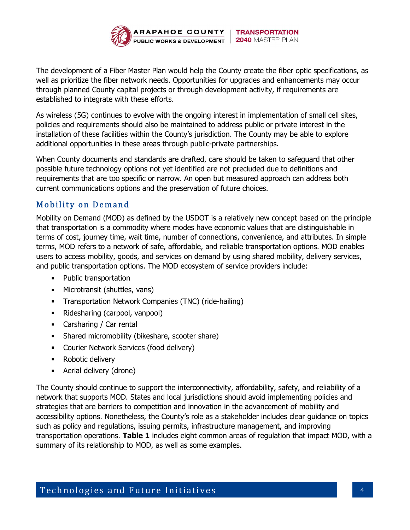

The development of a Fiber Master Plan would help the County create the fiber optic specifications, as well as prioritize the fiber network needs. Opportunities for upgrades and enhancements may occur through planned County capital projects or through development activity, if requirements are established to integrate with these efforts.

As wireless (5G) continues to evolve with the ongoing interest in implementation of small cell sites, policies and requirements should also be maintained to address public or private interest in the installation of these facilities within the County's jurisdiction. The County may be able to explore additional opportunities in these areas through public-private partnerships.

When County documents and standards are drafted, care should be taken to safeguard that other possible future technology options not yet identified are not precluded due to definitions and requirements that are too specific or narrow. An open but measured approach can address both current communications options and the preservation of future choices.

# Mobility on Demand

Mobility on Demand (MOD) as defined by the USDOT is a relatively new concept based on the principle that transportation is a commodity where modes have economic values that are distinguishable in terms of cost, journey time, wait time, number of connections, convenience, and attributes. In simple terms, MOD refers to a network of safe, affordable, and reliable transportation options. MOD enables users to access mobility, goods, and services on demand by using shared mobility, delivery services, and public transportation options. The MOD ecosystem of service providers include:

- Public transportation
- Microtransit (shuttles, vans)
- **Transportation Network Companies (TNC) (ride-hailing)**
- Ridesharing (carpool, vanpool)
- Carsharing / Car rental
- Shared micromobility (bikeshare, scooter share)
- **Courier Network Services (food delivery)**
- **-** Robotic delivery
- **Aerial delivery (drone)**

The County should continue to support the interconnectivity, affordability, safety, and reliability of a network that supports MOD. States and local jurisdictions should avoid implementing policies and strategies that are barriers to competition and innovation in the advancement of mobility and accessibility options. Nonetheless, the County's role as a stakeholder includes clear guidance on topics such as policy and regulations, issuing permits, infrastructure management, and improving transportation operations. Table 1 includes eight common areas of regulation that impact MOD, with a summary of its relationship to MOD, as well as some examples.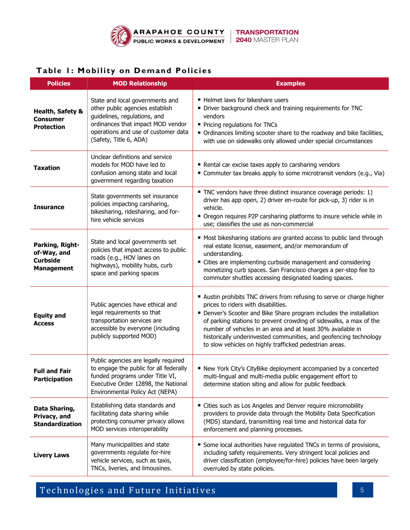

#### Table 1: Mobility on Demand Policies

| <b>Policies</b>                                                        | <b>MOD Relationship</b>                                                                                                                                                                                  | <b>Examples</b>                                                                                                                                                                                                                                                                                                                                                                                                                                         |
|------------------------------------------------------------------------|----------------------------------------------------------------------------------------------------------------------------------------------------------------------------------------------------------|---------------------------------------------------------------------------------------------------------------------------------------------------------------------------------------------------------------------------------------------------------------------------------------------------------------------------------------------------------------------------------------------------------------------------------------------------------|
| Health, Safety &<br><b>Consumer</b><br><b>Protection</b>               | State and local governments and<br>other public agencies establish<br>guidelines, regulations, and<br>ordinances that impact MOD vendor<br>operations and use of customer data<br>(Safety, Title 6, ADA) | ■ Helmet laws for bikeshare users<br>• Driver background check and training requirements for TNC<br>vendors<br>Pricing regulations for TNCs<br>Ordinances limiting scooter share to the roadway and bike facilities,<br>with use on sidewalks only allowed under special circumstances                                                                                                                                                                  |
| <b>Taxation</b>                                                        | Unclear definitions and service<br>models for MOD have led to<br>confusion among state and local<br>government regarding taxation                                                                        | Rental car excise taxes apply to carsharing vendors<br>■ Commuter tax breaks apply to some microtransit vendors (e.g., Via)                                                                                                                                                                                                                                                                                                                             |
| <b>Insurance</b>                                                       | State governments set insurance<br>policies impacting carsharing,<br>bikesharing, ridesharing, and for-<br>hire vehicle services                                                                         | TNC vendors have three distinct insurance coverage periods: 1)<br>driver has app open, 2) driver en-route for pick-up, 3) rider is in<br>vehicle.<br>• Oregon requires P2P carsharing platforms to insure vehicle while in<br>use; classifies the use as non-commercial                                                                                                                                                                                 |
| Parking, Right-<br>of-Way, and<br><b>Curbside</b><br><b>Management</b> | State and local governments set<br>policies that impact access to public<br>roads (e.g., HOV lanes on<br>highways), mobility hubs, curb<br>space and parking spaces                                      | ■ Most bikesharing stations are granted access to public land through<br>real estate license, easement, and/or memorandum of<br>understanding.<br>■ Cities are implementing curbside management and considering<br>monetizing curb spaces. San Francisco charges a per-stop fee to<br>commuter shuttles accessing designated loading spaces.                                                                                                            |
| <b>Equity and</b><br><b>Access</b>                                     | Public agencies have ethical and<br>legal requirements so that<br>transportation services are<br>accessible by everyone (including<br>publicly supported MOD)                                            | Austin prohibits TNC drivers from refusing to serve or charge higher<br>prices to riders with disabilities.<br>• Denver's Scooter and Bike Share program includes the installation<br>of parking stations to prevent crowding of sidewalks, a max of the<br>number of vehicles in an area and at least 30% available in<br>historically underinvested communities, and geofencing technology<br>to slow vehicles on highly trafficked pedestrian areas. |
| <b>Full and Fair</b><br><b>Participation</b>                           | Public agencies are legally required<br>to engage the public for all federally<br>funded programs under Title VI,<br>Executive Order 12898, the National<br>Environmental Policy Act (NEPA)              | New York City's CityBike deployment accompanied by a concerted<br>multi-lingual and multi-media public engagement effort to<br>determine station siting and allow for public feedback                                                                                                                                                                                                                                                                   |
| Data Sharing,<br>Privacy, and<br><b>Standardization</b>                | Establishing data standards and<br>facilitating data sharing while<br>protecting consumer privacy allows<br>MOD services interoperability                                                                | " Cities such as Los Angeles and Denver require micromobility<br>providers to provide data through the Mobility Data Specification<br>(MDS) standard, transmitting real time and historical data for<br>enforcement and planning processes.                                                                                                                                                                                                             |
| <b>Livery Laws</b>                                                     | Many municipalities and state<br>governments regulate for-hire<br>vehicle services, such as taxis,<br>TNCs, liveries, and limousines.                                                                    | Some local authorities have regulated TNCs in terms of provisions,<br>including safety requirements. Very stringent local policies and<br>driver classification (employee/for-hire) policies have been largely<br>overruled by state policies.                                                                                                                                                                                                          |

Technologies and Future Initiatives and the set of the set of the set of the set of the set of the set of the s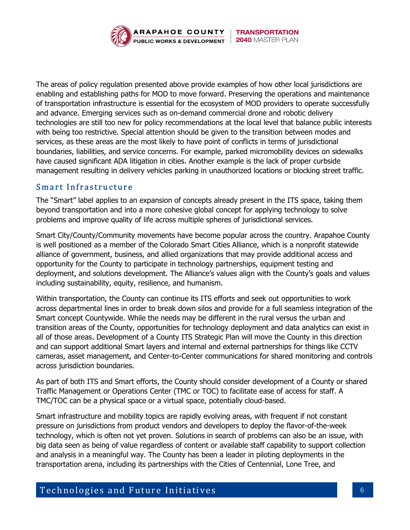

The areas of policy regulation presented above provide examples of how other local jurisdictions are enabling and establishing paths for MOD to move forward. Preserving the operations and maintenance of transportation infrastructure is essential for the ecosystem of MOD providers to operate successfully and advance. Emerging services such as on-demand commercial drone and robotic delivery technologies are still too new for policy recommendations at the local level that balance public interests with being too restrictive. Special attention should be given to the transition between modes and services, as these areas are the most likely to have point of conflicts in terms of jurisdictional boundaries, liabilities, and service concerns. For example, parked micromobility devices on sidewalks have caused significant ADA litigation in cities. Another example is the lack of proper curbside management resulting in delivery vehicles parking in unauthorized locations or blocking street traffic.

#### Smart Infrastructure

The "Smart" label applies to an expansion of concepts already present in the ITS space, taking them beyond transportation and into a more cohesive global concept for applying technology to solve problems and improve quality of life across multiple spheres of jurisdictional services.

Smart City/County/Community movements have become popular across the country. Arapahoe County is well positioned as a member of the Colorado Smart Cities Alliance, which is a nonprofit statewide alliance of government, business, and allied organizations that may provide additional access and opportunity for the County to participate in technology partnerships, equipment testing and deployment, and solutions development. The Alliance's values align with the County's goals and values including sustainability, equity, resilience, and humanism.

Within transportation, the County can continue its ITS efforts and seek out opportunities to work across departmental lines in order to break down silos and provide for a full seamless integration of the Smart concept Countywide. While the needs may be different in the rural versus the urban and transition areas of the County, opportunities for technology deployment and data analytics can exist in all of those areas. Development of a County ITS Strategic Plan will move the County in this direction and can support additional Smart layers and internal and external partnerships for things like CCTV cameras, asset management, and Center-to-Center communications for shared monitoring and controls across jurisdiction boundaries.

As part of both ITS and Smart efforts, the County should consider development of a County or shared Traffic Management or Operations Center (TMC or TOC) to facilitate ease of access for staff. A TMC/TOC can be a physical space or a virtual space, potentially cloud-based.

Smart infrastructure and mobility topics are rapidly evolving areas, with frequent if not constant pressure on jurisdictions from product vendors and developers to deploy the flavor-of-the-week technology, which is often not yet proven. Solutions in search of problems can also be an issue, with big data seen as being of value regardless of content or available staff capability to support collection and analysis in a meaningful way. The County has been a leader in piloting deployments in the transportation arena, including its partnerships with the Cities of Centennial, Lone Tree, and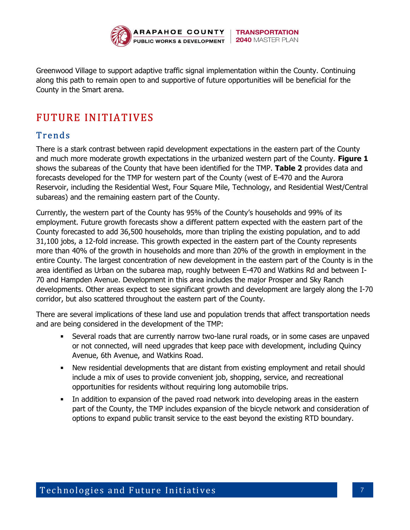

Greenwood Village to support adaptive traffic signal implementation within the County. Continuing along this path to remain open to and supportive of future opportunities will be beneficial for the County in the Smart arena.

# FUTURE IN ITIATIVES

# **Trends**

There is a stark contrast between rapid development expectations in the eastern part of the County and much more moderate growth expectations in the urbanized western part of the County. Figure 1 shows the subareas of the County that have been identified for the TMP. Table 2 provides data and forecasts developed for the TMP for western part of the County (west of E-470 and the Aurora Reservoir, including the Residential West, Four Square Mile, Technology, and Residential West/Central subareas) and the remaining eastern part of the County.

Currently, the western part of the County has 95% of the County's households and 99% of its employment. Future growth forecasts show a different pattern expected with the eastern part of the County forecasted to add 36,500 households, more than tripling the existing population, and to add 31,100 jobs, a 12-fold increase. This growth expected in the eastern part of the County represents more than 40% of the growth in households and more than 20% of the growth in employment in the entire County. The largest concentration of new development in the eastern part of the County is in the area identified as Urban on the subarea map, roughly between E-470 and Watkins Rd and between I-70 and Hampden Avenue. Development in this area includes the major Prosper and Sky Ranch developments. Other areas expect to see significant growth and development are largely along the I-70 corridor, but also scattered throughout the eastern part of the County.

There are several implications of these land use and population trends that affect transportation needs and are being considered in the development of the TMP:

- Several roads that are currently narrow two-lane rural roads, or in some cases are unpaved or not connected, will need upgrades that keep pace with development, including Quincy Avenue, 6th Avenue, and Watkins Road.
- New residential developments that are distant from existing employment and retail should include a mix of uses to provide convenient job, shopping, service, and recreational opportunities for residents without requiring long automobile trips.
- In addition to expansion of the paved road network into developing areas in the eastern part of the County, the TMP includes expansion of the bicycle network and consideration of options to expand public transit service to the east beyond the existing RTD boundary.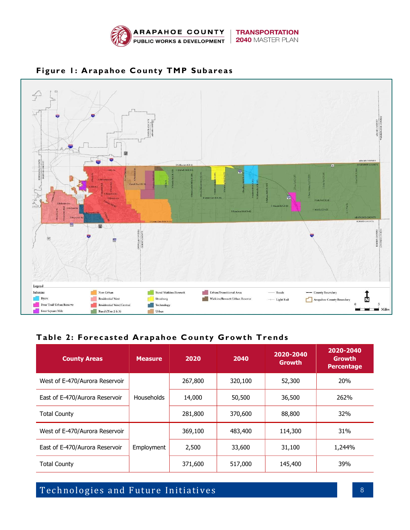



### Figure 1: Arapahoe County TMP Subareas

#### Table 2: Forecasted Arapahoe County Growth Trends

| <b>County Areas</b>                                                 | <b>Measure</b>    | 2020    | 2040    | 2020-2040<br><b>Growth</b> | 2020-2040<br>Growth<br><b>Percentage</b> |
|---------------------------------------------------------------------|-------------------|---------|---------|----------------------------|------------------------------------------|
| West of E-470/Aurora Reservoir                                      |                   | 267,800 | 320,100 | 52,300                     | 20%                                      |
| East of E-470/Aurora Reservoir                                      | <b>Households</b> | 14,000  | 50,500  | 36,500                     | 262%                                     |
| <b>Total County</b>                                                 |                   | 281,800 | 370,600 | 88,800                     | 32%                                      |
| West of E-470/Aurora Reservoir                                      |                   | 369,100 | 483,400 | 114,300                    | 31%                                      |
| East of E-470/Aurora Reservoir<br>Employment<br><b>Total County</b> |                   | 2,500   | 33,600  | 31,100                     | 1,244%                                   |
|                                                                     |                   | 371,600 | 517,000 | 145,400                    | 39%                                      |

# Technologies and Future Initiatives and the state of the state of the state of the state of the state of the state of the state of the state of the state of the state of the state of the state of the state of the state of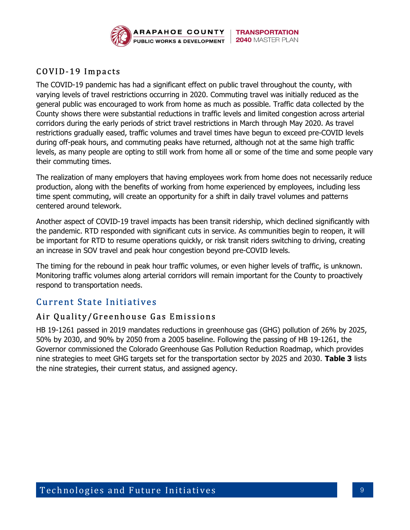

# COVID-19 Impacts

The COVID-19 pandemic has had a significant effect on public travel throughout the county, with varying levels of travel restrictions occurring in 2020. Commuting travel was initially reduced as the general public was encouraged to work from home as much as possible. Traffic data collected by the County shows there were substantial reductions in traffic levels and limited congestion across arterial corridors during the early periods of strict travel restrictions in March through May 2020. As travel restrictions gradually eased, traffic volumes and travel times have begun to exceed pre-COVID levels during off-peak hours, and commuting peaks have returned, although not at the same high traffic levels, as many people are opting to still work from home all or some of the time and some people vary their commuting times.

The realization of many employers that having employees work from home does not necessarily reduce production, along with the benefits of working from home experienced by employees, including less time spent commuting, will create an opportunity for a shift in daily travel volumes and patterns centered around telework.

Another aspect of COVID-19 travel impacts has been transit ridership, which declined significantly with the pandemic. RTD responded with significant cuts in service. As communities begin to reopen, it will be important for RTD to resume operations quickly, or risk transit riders switching to driving, creating an increase in SOV travel and peak hour congestion beyond pre-COVID levels.

The timing for the rebound in peak hour traffic volumes, or even higher levels of traffic, is unknown. Monitoring traffic volumes along arterial corridors will remain important for the County to proactively respond to transportation needs.

# **Current State Initiatives**

# Air Quality/Greenhouse Gas Emissions

HB 19-1261 passed in 2019 mandates reductions in greenhouse gas (GHG) pollution of 26% by 2025, 50% by 2030, and 90% by 2050 from a 2005 baseline. Following the passing of HB 19-1261, the Governor commissioned the Colorado Greenhouse Gas Pollution Reduction Roadmap, which provides nine strategies to meet GHG targets set for the transportation sector by 2025 and 2030. Table 3 lists the nine strategies, their current status, and assigned agency.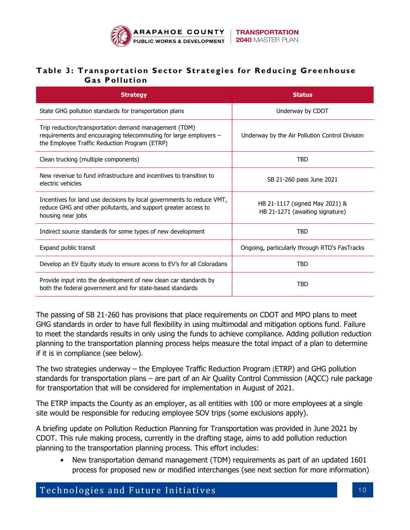

#### Table 3: Transportation Sector Strategies for Reducing Greenhouse Gas Pollution

| <b>Strategy</b>                                                                                                                                                            | <b>Status</b>                                                     |  |  |
|----------------------------------------------------------------------------------------------------------------------------------------------------------------------------|-------------------------------------------------------------------|--|--|
| State GHG pollution standards for transportation plans                                                                                                                     | Underway by CDOT                                                  |  |  |
| Trip reduction/transportation demand management (TDM)<br>requirements and encouraging telecommuting for large employers -<br>the Employee Traffic Reduction Program (ETRP) | Underway by the Air Pollution Control Division                    |  |  |
| Clean trucking (multiple components)                                                                                                                                       | TBD                                                               |  |  |
| New revenue to fund infrastructure and incentives to transition to<br>electric vehicles                                                                                    | SB 21-260 pass June 2021                                          |  |  |
| Incentives for land use decisions by local governments to reduce VMT,<br>reduce GHG and other pollutants, and support greater access to<br>housing near jobs               | HB 21-1117 (signed May 2021) &<br>HB 21-1271 (awaiting signature) |  |  |
| Indirect source standards for some types of new development                                                                                                                | <b>TBD</b>                                                        |  |  |
| Expand public transit                                                                                                                                                      | Ongoing, particularly through RTD's FasTracks                     |  |  |
| Develop an EV Equity study to ensure access to EV's for all Coloradans                                                                                                     | <b>TBD</b>                                                        |  |  |
| Provide input into the development of new clean car standards by<br>both the federal government and for state-based standards                                              | TBD                                                               |  |  |

The passing of SB 21-260 has provisions that place requirements on CDOT and MPO plans to meet GHG standards in order to have full flexibility in using multimodal and mitigation options fund. Failure to meet the standards results in only using the funds to achieve compliance. Adding pollution reduction planning to the transportation planning process helps measure the total impact of a plan to determine if it is in compliance (see below).

The two strategies underway – the Employee Traffic Reduction Program (ETRP) and GHG pollution standards for transportation plans – are part of an Air Quality Control Commission (AQCC) rule package for transportation that will be considered for implementation in August of 2021.

The ETRP impacts the County as an employer, as all entities with 100 or more employees at a single site would be responsible for reducing employee SOV trips (some exclusions apply).

A briefing update on Pollution Reduction Planning for Transportation was provided in June 2021 by CDOT. This rule making process, currently in the drafting stage, aims to add pollution reduction planning to the transportation planning process. This effort includes:

 New transportation demand management (TDM) requirements as part of an updated 1601 process for proposed new or modified interchanges (see next section for more information)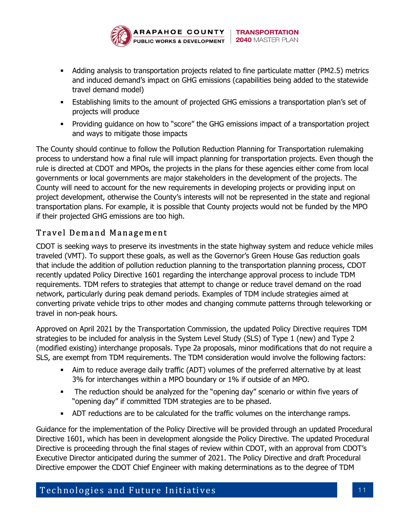

- Adding analysis to transportation projects related to fine particulate matter (PM2.5) metrics and induced demand's impact on GHG emissions (capabilities being added to the statewide travel demand model)
- Establishing limits to the amount of projected GHG emissions a transportation plan's set of projects will produce
- **Providing guidance on how to "score" the GHG emissions impact of a transportation project in Argority** and ways to mitigate those impacts

The County should continue to follow the Pollution Reduction Planning for Transportation rulemaking process to understand how a final rule will impact planning for transportation projects. Even though the rule is directed at CDOT and MPOs, the projects in the plans for these agencies either come from local governments or local governments are major stakeholders in the development of the projects. The County will need to account for the new requirements in developing projects or providing input on project development, otherwise the County's interests will not be represented in the state and regional transportation plans. For example, it is possible that County projects would not be funded by the MPO if their projected GHG emissions are too high.

# Travel Demand Management

CDOT is seeking ways to preserve its investments in the state highway system and reduce vehicle miles traveled (VMT). To support these goals, as well as the Governor's Green House Gas reduction goals that include the addition of pollution reduction planning to the transportation planning process, CDOT recently updated Policy Directive 1601 regarding the interchange approval process to include TDM requirements. TDM refers to strategies that attempt to change or reduce travel demand on the road network, particularly during peak demand periods. Examples of TDM include strategies aimed at converting private vehicle trips to other modes and changing commute patterns through teleworking or travel in non-peak hours.

Approved on April 2021 by the Transportation Commission, the updated Policy Directive requires TDM strategies to be included for analysis in the System Level Study (SLS) of Type 1 (new) and Type 2 (modified existing) interchange proposals. Type 2a proposals, minor modifications that do not require a SLS, are exempt from TDM requirements. The TDM consideration would involve the following factors:

- Aim to reduce average daily traffic (ADT) volumes of the preferred alternative by at least 3% for interchanges within a MPO boundary or 1% if outside of an MPO.
- The reduction should be analyzed for the "opening day" scenario or within five years of "opening day" if committed TDM strategies are to be phased.
- ADT reductions are to be calculated for the traffic volumes on the interchange ramps.

Guidance for the implementation of the Policy Directive will be provided through an updated Procedural Directive 1601, which has been in development alongside the Policy Directive. The updated Procedural Directive is proceeding through the final stages of review within CDOT, with an approval from CDOT's Executive Director anticipated during the summer of 2021. The Policy Directive and draft Procedural Directive empower the CDOT Chief Engineer with making determinations as to the degree of TDM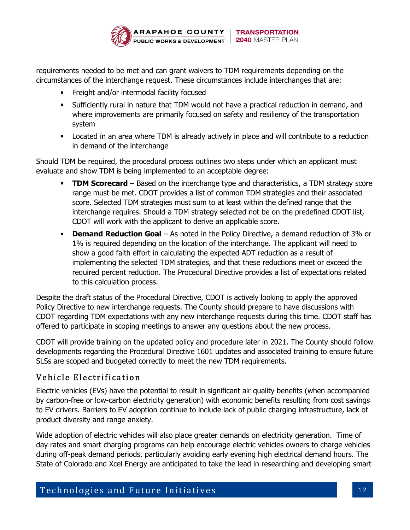

requirements needed to be met and can grant waivers to TDM requirements depending on the circumstances of the interchange request. These circumstances include interchanges that are:

- **Filter Freight and/or intermodal facility focused**
- Sufficiently rural in nature that TDM would not have a practical reduction in demand, and where improvements are primarily focused on safety and resiliency of the transportation system
- Located in an area where TDM is already actively in place and will contribute to a reduction in demand of the interchange

Should TDM be required, the procedural process outlines two steps under which an applicant must evaluate and show TDM is being implemented to an acceptable degree:

- **TDM Scorecard** Based on the interchange type and characteristics, a TDM strategy score range must be met. CDOT provides a list of common TDM strategies and their associated score. Selected TDM strategies must sum to at least within the defined range that the interchange requires. Should a TDM strategy selected not be on the predefined CDOT list, CDOT will work with the applicant to derive an applicable score.
- **Demand Reduction Goal** As noted in the Policy Directive, a demand reduction of  $3\%$  or 1% is required depending on the location of the interchange. The applicant will need to show a good faith effort in calculating the expected ADT reduction as a result of implementing the selected TDM strategies, and that these reductions meet or exceed the required percent reduction. The Procedural Directive provides a list of expectations related to this calculation process.

Despite the draft status of the Procedural Directive, CDOT is actively looking to apply the approved Policy Directive to new interchange requests. The County should prepare to have discussions with CDOT regarding TDM expectations with any new interchange requests during this time. CDOT staff has offered to participate in scoping meetings to answer any questions about the new process.

CDOT will provide training on the updated policy and procedure later in 2021. The County should follow developments regarding the Procedural Directive 1601 updates and associated training to ensure future SLSs are scoped and budgeted correctly to meet the new TDM requirements.

# Vehicle Electrification

Electric vehicles (EVs) have the potential to result in significant air quality benefits (when accompanied by carbon-free or low-carbon electricity generation) with economic benefits resulting from cost savings to EV drivers. Barriers to EV adoption continue to include lack of public charging infrastructure, lack of product diversity and range anxiety.

Wide adoption of electric vehicles will also place greater demands on electricity generation. Time of day rates and smart charging programs can help encourage electric vehicles owners to charge vehicles during off-peak demand periods, particularly avoiding early evening high electrical demand hours. The State of Colorado and Xcel Energy are anticipated to take the lead in researching and developing smart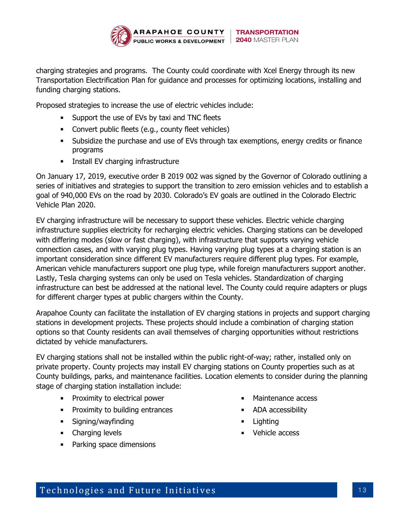

charging strategies and programs. The County could coordinate with Xcel Energy through its new Transportation Electrification Plan for guidance and processes for optimizing locations, installing and funding charging stations.

Proposed strategies to increase the use of electric vehicles include:

- **Support the use of EVs by taxi and TNC fleets**
- **Convert public fleets (e.g., county fleet vehicles)**
- Subsidize the purchase and use of EVs through tax exemptions, energy credits or finance programs
- **Install EV charging infrastructure**

On January 17, 2019, executive order B 2019 002 was signed by the Governor of Colorado outlining a series of initiatives and strategies to support the transition to zero emission vehicles and to establish a goal of 940,000 EVs on the road by 2030. Colorado's EV goals are outlined in the Colorado Electric Vehicle Plan 2020.

EV charging infrastructure will be necessary to support these vehicles. Electric vehicle charging infrastructure supplies electricity for recharging electric vehicles. Charging stations can be developed with differing modes (slow or fast charging), with infrastructure that supports varying vehicle connection cases, and with varying plug types. Having varying plug types at a charging station is an important consideration since different EV manufacturers require different plug types. For example, American vehicle manufacturers support one plug type, while foreign manufacturers support another. Lastly, Tesla charging systems can only be used on Tesla vehicles. Standardization of charging infrastructure can best be addressed at the national level. The County could require adapters or plugs for different charger types at public chargers within the County.

Arapahoe County can facilitate the installation of EV charging stations in projects and support charging stations in development projects. These projects should include a combination of charging station options so that County residents can avail themselves of charging opportunities without restrictions dictated by vehicle manufacturers.

EV charging stations shall not be installed within the public right-of-way; rather, installed only on private property. County projects may install EV charging stations on County properties such as at County buildings, parks, and maintenance facilities. Location elements to consider during the planning stage of charging station installation include:

- **Proximity to electrical power**
- **Proximity to building entrances**
- **Signing/wayfinding**
- **•** Charging levels
- Parking space dimensions
- Maintenance access
- ADA accessibility
- Lighting
- **vehicle access**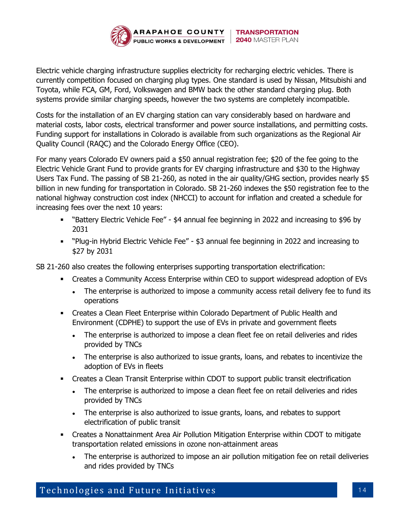

Electric vehicle charging infrastructure supplies electricity for recharging electric vehicles. There is currently competition focused on charging plug types. One standard is used by Nissan, Mitsubishi and Toyota, while FCA, GM, Ford, Volkswagen and BMW back the other standard charging plug. Both systems provide similar charging speeds, however the two systems are completely incompatible.

Costs for the installation of an EV charging station can vary considerably based on hardware and material costs, labor costs, electrical transformer and power source installations, and permitting costs. Funding support for installations in Colorado is available from such organizations as the Regional Air Quality Council (RAQC) and the Colorado Energy Office (CEO).

For many years Colorado EV owners paid a \$50 annual registration fee; \$20 of the fee going to the Electric Vehicle Grant Fund to provide grants for EV charging infrastructure and \$30 to the Highway Users Tax Fund. The passing of SB 21-260, as noted in the air quality/GHG section, provides nearly \$5 billion in new funding for transportation in Colorado. SB 21-260 indexes the \$50 registration fee to the national highway construction cost index (NHCCI) to account for inflation and created a schedule for increasing fees over the next 10 years:

- "Battery Electric Vehicle Fee" \$4 annual fee beginning in 2022 and increasing to \$96 by 2031
- "Plug-in Hybrid Electric Vehicle Fee" \$3 annual fee beginning in 2022 and increasing to \$27 by 2031

SB 21-260 also creates the following enterprises supporting transportation electrification:

- Creates a Community Access Enterprise within CEO to support widespread adoption of EVs
	- The enterprise is authorized to impose a community access retail delivery fee to fund its operations
- Creates a Clean Fleet Enterprise within Colorado Department of Public Health and Environment (CDPHE) to support the use of EVs in private and government fleets
	- The enterprise is authorized to impose a clean fleet fee on retail deliveries and rides provided by TNCs
	- The enterprise is also authorized to issue grants, loans, and rebates to incentivize the adoption of EVs in fleets
- Creates a Clean Transit Enterprise within CDOT to support public transit electrification
	- The enterprise is authorized to impose a clean fleet fee on retail deliveries and rides provided by TNCs
	- The enterprise is also authorized to issue grants, loans, and rebates to support electrification of public transit
- Creates a Nonattainment Area Air Pollution Mitigation Enterprise within CDOT to mitigate transportation related emissions in ozone non-attainment areas
	- The enterprise is authorized to impose an air pollution mitigation fee on retail deliveries and rides provided by TNCs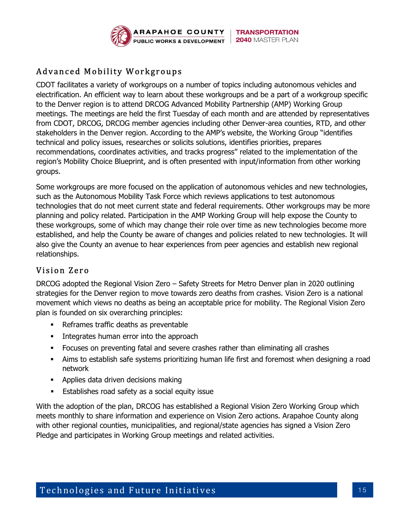

# Advanced Mobility Workgroups

CDOT facilitates a variety of workgroups on a number of topics including autonomous vehicles and electrification. An efficient way to learn about these workgroups and be a part of a workgroup specific to the Denver region is to attend DRCOG Advanced Mobility Partnership (AMP) Working Group meetings. The meetings are held the first Tuesday of each month and are attended by representatives from CDOT, DRCOG, DRCOG member agencies including other Denver-area counties, RTD, and other stakeholders in the Denver region. According to the AMP's website, the Working Group "identifies technical and policy issues, researches or solicits solutions, identifies priorities, prepares recommendations, coordinates activities, and tracks progress" related to the implementation of the region's Mobility Choice Blueprint, and is often presented with input/information from other working groups.

Some workgroups are more focused on the application of autonomous vehicles and new technologies, such as the Autonomous Mobility Task Force which reviews applications to test autonomous technologies that do not meet current state and federal requirements. Other workgroups may be more planning and policy related. Participation in the AMP Working Group will help expose the County to these workgroups, some of which may change their role over time as new technologies become more established, and help the County be aware of changes and policies related to new technologies. It will also give the County an avenue to hear experiences from peer agencies and establish new regional relationships.

# Vision Zero

DRCOG adopted the Regional Vision Zero – Safety Streets for Metro Denver plan in 2020 outlining strategies for the Denver region to move towards zero deaths from crashes. Vision Zero is a national movement which views no deaths as being an acceptable price for mobility. The Regional Vision Zero plan is founded on six overarching principles:

- Reframes traffic deaths as preventable
- **Integrates human error into the approach**
- Focuses on preventing fatal and severe crashes rather than eliminating all crashes
- Aims to establish safe systems prioritizing human life first and foremost when designing a road network
- **Applies data driven decisions making**
- **Establishes road safety as a social equity issue**

With the adoption of the plan, DRCOG has established a Regional Vision Zero Working Group which meets monthly to share information and experience on Vision Zero actions. Arapahoe County along with other regional counties, municipalities, and regional/state agencies has signed a Vision Zero Pledge and participates in Working Group meetings and related activities.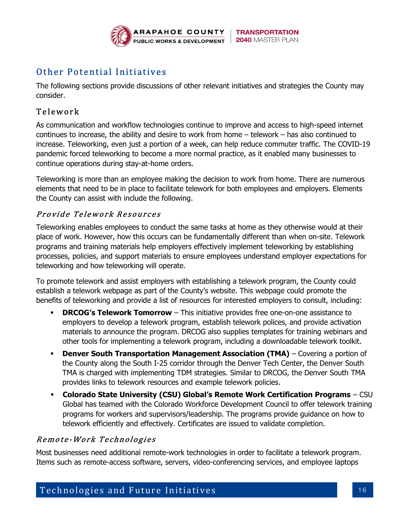

# Other Potential Initiatives

The following sections provide discussions of other relevant initiatives and strategies the County may consider.

### Telework

As communication and workflow technologies continue to improve and access to high-speed internet continues to increase, the ability and desire to work from home – telework – has also continued to increase. Teleworking, even just a portion of a week, can help reduce commuter traffic. The COVID-19 pandemic forced teleworking to become a more normal practice, as it enabled many businesses to continue operations during stay-at-home orders.

Teleworking is more than an employee making the decision to work from home. There are numerous elements that need to be in place to facilitate telework for both employees and employers. Elements the County can assist with include the following.

#### Provide Telework Resources

Teleworking enables employees to conduct the same tasks at home as they otherwise would at their place of work. However, how this occurs can be fundamentally different than when on-site. Telework programs and training materials help employers effectively implement teleworking by establishing processes, policies, and support materials to ensure employees understand employer expectations for teleworking and how teleworking will operate.

To promote telework and assist employers with establishing a telework program, the County could establish a telework webpage as part of the County's website. This webpage could promote the benefits of teleworking and provide a list of resources for interested employers to consult, including:

- **DRCOG's Telework Tomorrow** This initiative provides free one-on-one assistance to employers to develop a telework program, establish telework polices, and provide activation materials to announce the program. DRCOG also supplies templates for training webinars and other tools for implementing a telework program, including a downloadable telework toolkit.
- **Denver South Transportation Management Association (TMA)** Covering a portion of the County along the South I-25 corridor through the Denver Tech Center, the Denver South TMA is charged with implementing TDM strategies. Similar to DRCOG, the Denver South TMA provides links to telework resources and example telework policies.
- Colorado State University (CSU) Global's Remote Work Certification Programs CSU Global has teamed with the Colorado Workforce Development Council to offer telework training programs for workers and supervisors/leadership. The programs provide guidance on how to telework efficiently and effectively. Certificates are issued to validate completion.

# Remote-Work Technologies

Most businesses need additional remote-work technologies in order to facilitate a telework program. Items such as remote-access software, servers, video-conferencing services, and employee laptops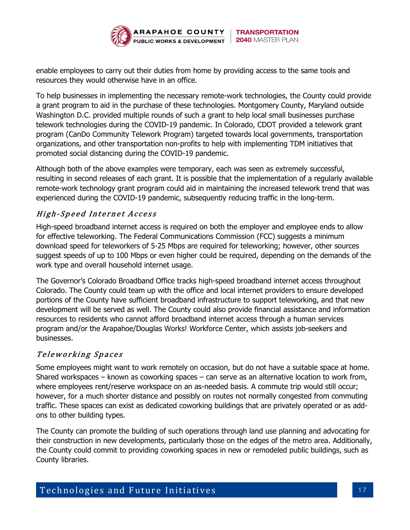

enable employees to carry out their duties from home by providing access to the same tools and resources they would otherwise have in an office.

To help businesses in implementing the necessary remote-work technologies, the County could provide a grant program to aid in the purchase of these technologies. Montgomery County, Maryland outside Washington D.C. provided multiple rounds of such a grant to help local small businesses purchase telework technologies during the COVID-19 pandemic. In Colorado, CDOT provided a telework grant program (CanDo Community Telework Program) targeted towards local governments, transportation organizations, and other transportation non-profits to help with implementing TDM initiatives that promoted social distancing during the COVID-19 pandemic.

Although both of the above examples were temporary, each was seen as extremely successful, resulting in second releases of each grant. It is possible that the implementation of a regularly available remote-work technology grant program could aid in maintaining the increased telework trend that was experienced during the COVID-19 pandemic, subsequently reducing traffic in the long-term.

# High-Speed Internet Access

High-speed broadband internet access is required on both the employer and employee ends to allow for effective teleworking. The Federal Communications Commission (FCC) suggests a minimum download speed for teleworkers of 5-25 Mbps are required for teleworking; however, other sources suggest speeds of up to 100 Mbps or even higher could be required, depending on the demands of the work type and overall household internet usage.

The Governor's Colorado Broadband Office tracks high-speed broadband internet access throughout Colorado. The County could team up with the office and local internet providers to ensure developed portions of the County have sufficient broadband infrastructure to support teleworking, and that new development will be served as well. The County could also provide financial assistance and information resources to residents who cannot afford broadband internet access through a human services program and/or the Arapahoe/Douglas Works! Workforce Center, which assists job-seekers and businesses.

# Teleworking Spaces

Some employees might want to work remotely on occasion, but do not have a suitable space at home. Shared workspaces – known as coworking spaces – can serve as an alternative location to work from, where employees rent/reserve workspace on an as-needed basis. A commute trip would still occur; however, for a much shorter distance and possibly on routes not normally congested from commuting traffic. These spaces can exist as dedicated coworking buildings that are privately operated or as addons to other building types.

The County can promote the building of such operations through land use planning and advocating for their construction in new developments, particularly those on the edges of the metro area. Additionally, the County could commit to providing coworking spaces in new or remodeled public buildings, such as County libraries.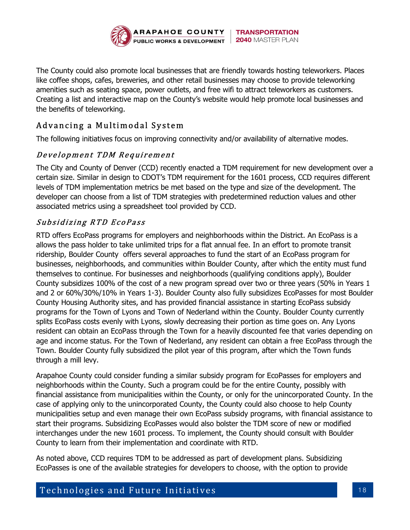

The County could also promote local businesses that are friendly towards hosting teleworkers. Places like coffee shops, cafes, breweries, and other retail businesses may choose to provide teleworking amenities such as seating space, power outlets, and free wifi to attract teleworkers as customers. Creating a list and interactive map on the County's website would help promote local businesses and the benefits of teleworking.

# Advancing a Multimodal System

The following initiatives focus on improving connectivity and/or availability of alternative modes.

# Development TDM Requirement

The City and County of Denver (CCD) recently enacted a TDM requirement for new development over a certain size. Similar in design to CDOT's TDM requirement for the 1601 process, CCD requires different levels of TDM implementation metrics be met based on the type and size of the development. The developer can choose from a list of TDM strategies with predetermined reduction values and other associated metrics using a spreadsheet tool provided by CCD.

# Subsidizing RTD EcoPass

RTD offers EcoPass programs for employers and neighborhoods within the District. An EcoPass is a allows the pass holder to take unlimited trips for a flat annual fee. In an effort to promote transit ridership, Boulder County offers several approaches to fund the start of an EcoPass program for businesses, neighborhoods, and communities within Boulder County, after which the entity must fund themselves to continue. For businesses and neighborhoods (qualifying conditions apply), Boulder County subsidizes 100% of the cost of a new program spread over two or three years (50% in Years 1 and 2 or 60%/30%/10% in Years 1-3). Boulder County also fully subsidizes EcoPasses for most Boulder County Housing Authority sites, and has provided financial assistance in starting EcoPass subsidy programs for the Town of Lyons and Town of Nederland within the County. Boulder County currently splits EcoPass costs evenly with Lyons, slowly decreasing their portion as time goes on. Any Lyons resident can obtain an EcoPass through the Town for a heavily discounted fee that varies depending on age and income status. For the Town of Nederland, any resident can obtain a free EcoPass through the Town. Boulder County fully subsidized the pilot year of this program, after which the Town funds through a mill levy.

Arapahoe County could consider funding a similar subsidy program for EcoPasses for employers and neighborhoods within the County. Such a program could be for the entire County, possibly with financial assistance from municipalities within the County, or only for the unincorporated County. In the case of applying only to the unincorporated County, the County could also choose to help County municipalities setup and even manage their own EcoPass subsidy programs, with financial assistance to start their programs. Subsidizing EcoPasses would also bolster the TDM score of new or modified interchanges under the new 1601 process. To implement, the County should consult with Boulder County to learn from their implementation and coordinate with RTD.

As noted above, CCD requires TDM to be addressed as part of development plans. Subsidizing EcoPasses is one of the available strategies for developers to choose, with the option to provide

Technologies and Future Initiatives and the state in the 18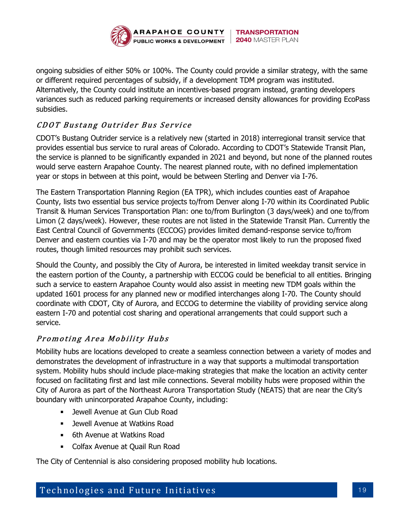

ongoing subsidies of either 50% or 100%. The County could provide a similar strategy, with the same or different required percentages of subsidy, if a development TDM program was instituted. Alternatively, the County could institute an incentives-based program instead, granting developers variances such as reduced parking requirements or increased density allowances for providing EcoPass subsidies.

# CDOT Bustang Outrider Bus Service

CDOT's Bustang Outrider service is a relatively new (started in 2018) interregional transit service that provides essential bus service to rural areas of Colorado. According to CDOT's Statewide Transit Plan, the service is planned to be significantly expanded in 2021 and beyond, but none of the planned routes would serve eastern Arapahoe County. The nearest planned route, with no defined implementation year or stops in between at this point, would be between Sterling and Denver via I-76.

The Eastern Transportation Planning Region (EA TPR), which includes counties east of Arapahoe County, lists two essential bus service projects to/from Denver along I-70 within its Coordinated Public Transit & Human Services Transportation Plan: one to/from Burlington (3 days/week) and one to/from Limon (2 days/week). However, these routes are not listed in the Statewide Transit Plan. Currently the East Central Council of Governments (ECCOG) provides limited demand-response service to/from Denver and eastern counties via I-70 and may be the operator most likely to run the proposed fixed routes, though limited resources may prohibit such services.

Should the County, and possibly the City of Aurora, be interested in limited weekday transit service in the eastern portion of the County, a partnership with ECCOG could be beneficial to all entities. Bringing such a service to eastern Arapahoe County would also assist in meeting new TDM goals within the updated 1601 process for any planned new or modified interchanges along I-70. The County should coordinate with CDOT, City of Aurora, and ECCOG to determine the viability of providing service along eastern I-70 and potential cost sharing and operational arrangements that could support such a service.

# Promoting Area Mobility Hubs

Mobility hubs are locations developed to create a seamless connection between a variety of modes and demonstrates the development of infrastructure in a way that supports a multimodal transportation system. Mobility hubs should include place-making strategies that make the location an activity center focused on facilitating first and last mile connections. Several mobility hubs were proposed within the City of Aurora as part of the Northeast Aurora Transportation Study (NEATS) that are near the City's boundary with unincorporated Arapahoe County, including:

- Jewell Avenue at Gun Club Road
- **EXEC** Jewell Avenue at Watkins Road
- **6th Avenue at Watkins Road**
- **EXECOLER** Colfax Avenue at Quail Run Road

The City of Centennial is also considering proposed mobility hub locations.